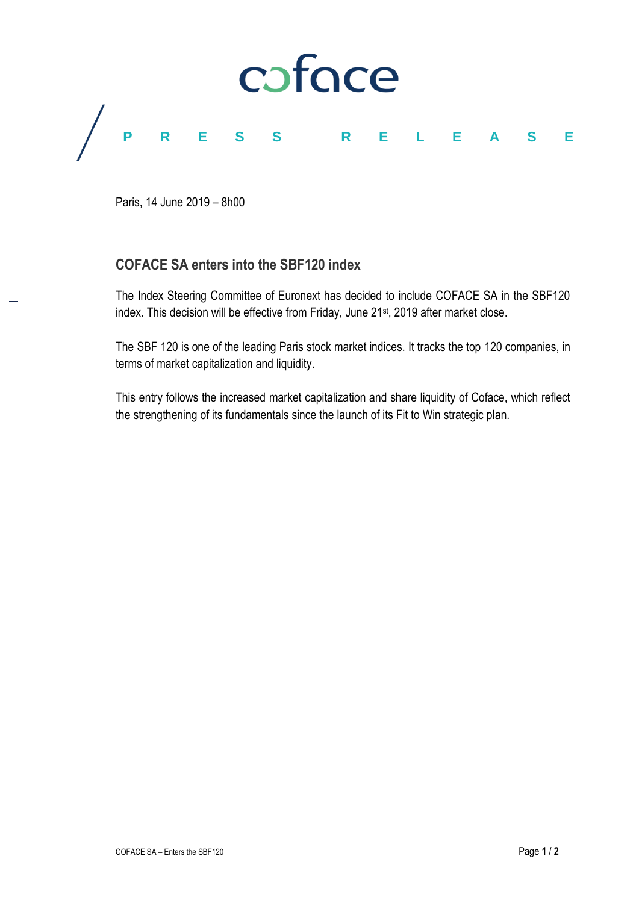

Paris, 14 June 2019 – 8h00

# **COFACE SA enters into the SBF120 index**

The Index Steering Committee of Euronext has decided to include COFACE SA in the SBF120 index. This decision will be effective from Friday, June 21<sup>st</sup>, 2019 after market close.

The SBF 120 is one of the leading Paris stock market indices. It tracks the top 120 companies, in terms of market capitalization and liquidity.

This entry follows the increased market capitalization and share liquidity of Coface, which reflect the strengthening of its fundamentals since the launch of its Fit to Win strategic plan.